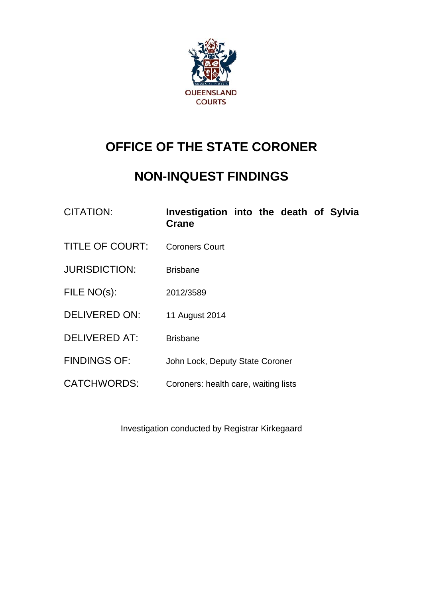

# **OFFICE OF THE STATE CORONER**

# **NON-INQUEST FINDINGS**

| <b>CITATION:</b>       | Investigation into the death of Sylvia<br><b>Crane</b> |
|------------------------|--------------------------------------------------------|
| <b>TITLE OF COURT:</b> | <b>Coroners Court</b>                                  |
| <b>JURISDICTION:</b>   | <b>Brisbane</b>                                        |
| FILE NO(s):            | 2012/3589                                              |
| <b>DELIVERED ON:</b>   | 11 August 2014                                         |
| <b>DELIVERED AT:</b>   | <b>Brisbane</b>                                        |
| <b>FINDINGS OF:</b>    | John Lock, Deputy State Coroner                        |
| <b>CATCHWORDS:</b>     | Coroners: health care, waiting lists                   |

Investigation conducted by Registrar Kirkegaard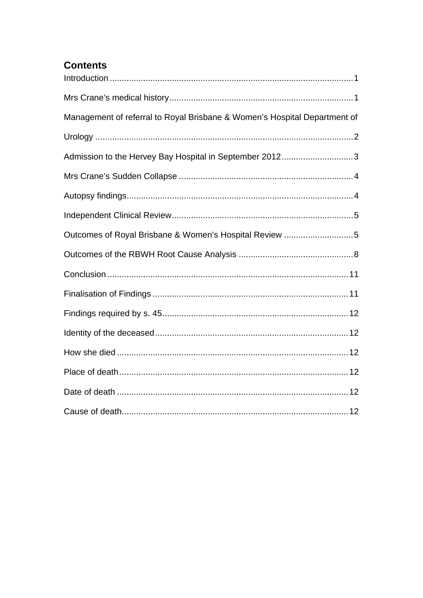# **Contents**

| Management of referral to Royal Brisbane & Women's Hospital Department of |  |
|---------------------------------------------------------------------------|--|
|                                                                           |  |
| Admission to the Hervey Bay Hospital in September 20123                   |  |
|                                                                           |  |
|                                                                           |  |
|                                                                           |  |
| Outcomes of Royal Brisbane & Women's Hospital Review 5                    |  |
|                                                                           |  |
|                                                                           |  |
|                                                                           |  |
|                                                                           |  |
|                                                                           |  |
|                                                                           |  |
|                                                                           |  |
|                                                                           |  |
|                                                                           |  |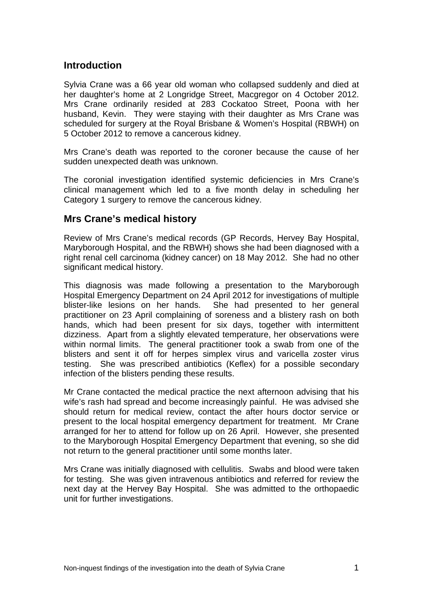## <span id="page-2-0"></span>**Introduction**

Sylvia Crane was a 66 year old woman who collapsed suddenly and died at her daughter's home at 2 Longridge Street, Macgregor on 4 October 2012. Mrs Crane ordinarily resided at 283 Cockatoo Street, Poona with her husband, Kevin. They were staying with their daughter as Mrs Crane was scheduled for surgery at the Royal Brisbane & Women's Hospital (RBWH) on 5 October 2012 to remove a cancerous kidney.

Mrs Crane's death was reported to the coroner because the cause of her sudden unexpected death was unknown.

The coronial investigation identified systemic deficiencies in Mrs Crane's clinical management which led to a five month delay in scheduling her Category 1 surgery to remove the cancerous kidney.

## <span id="page-2-1"></span>**Mrs Crane's medical history**

Review of Mrs Crane's medical records (GP Records, Hervey Bay Hospital, Maryborough Hospital, and the RBWH) shows she had been diagnosed with a right renal cell carcinoma (kidney cancer) on 18 May 2012. She had no other significant medical history.

This diagnosis was made following a presentation to the Maryborough Hospital Emergency Department on 24 April 2012 for investigations of multiple blister-like lesions on her hands. She had presented to her general practitioner on 23 April complaining of soreness and a blistery rash on both hands, which had been present for six days, together with intermittent dizziness. Apart from a slightly elevated temperature, her observations were within normal limits. The general practitioner took a swab from one of the blisters and sent it off for herpes simplex virus and varicella zoster virus testing. She was prescribed antibiotics (Keflex) for a possible secondary infection of the blisters pending these results.

Mr Crane contacted the medical practice the next afternoon advising that his wife's rash had spread and become increasingly painful. He was advised she should return for medical review, contact the after hours doctor service or present to the local hospital emergency department for treatment. Mr Crane arranged for her to attend for follow up on 26 April. However, she presented to the Maryborough Hospital Emergency Department that evening, so she did not return to the general practitioner until some months later.

Mrs Crane was initially diagnosed with cellulitis. Swabs and blood were taken for testing. She was given intravenous antibiotics and referred for review the next day at the Hervey Bay Hospital. She was admitted to the orthopaedic unit for further investigations.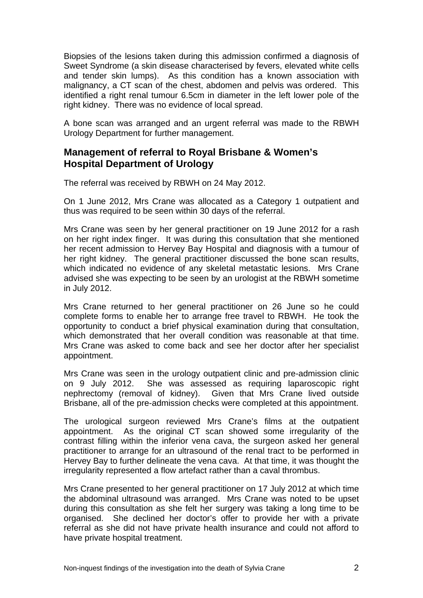Biopsies of the lesions taken during this admission confirmed a diagnosis of Sweet Syndrome (a skin disease characterised by fevers, elevated white cells and tender skin lumps). As this condition has a known association with malignancy, a CT scan of the chest, abdomen and pelvis was ordered. This identified a right renal tumour 6.5cm in diameter in the left lower pole of the right kidney. There was no evidence of local spread.

A bone scan was arranged and an urgent referral was made to the RBWH Urology Department for further management.

## <span id="page-3-0"></span>**Management of referral to Royal Brisbane & Women's Hospital Department of Urology**

The referral was received by RBWH on 24 May 2012.

On 1 June 2012, Mrs Crane was allocated as a Category 1 outpatient and thus was required to be seen within 30 days of the referral.

Mrs Crane was seen by her general practitioner on 19 June 2012 for a rash on her right index finger. It was during this consultation that she mentioned her recent admission to Hervey Bay Hospital and diagnosis with a tumour of her right kidney. The general practitioner discussed the bone scan results, which indicated no evidence of any skeletal metastatic lesions. Mrs Crane advised she was expecting to be seen by an urologist at the RBWH sometime in July 2012.

Mrs Crane returned to her general practitioner on 26 June so he could complete forms to enable her to arrange free travel to RBWH. He took the opportunity to conduct a brief physical examination during that consultation, which demonstrated that her overall condition was reasonable at that time. Mrs Crane was asked to come back and see her doctor after her specialist appointment.

Mrs Crane was seen in the urology outpatient clinic and pre-admission clinic on 9 July 2012. She was assessed as requiring laparoscopic right nephrectomy (removal of kidney). Given that Mrs Crane lived outside Brisbane, all of the pre-admission checks were completed at this appointment.

The urological surgeon reviewed Mrs Crane's films at the outpatient appointment. As the original CT scan showed some irregularity of the contrast filling within the inferior vena cava, the surgeon asked her general practitioner to arrange for an ultrasound of the renal tract to be performed in Hervey Bay to further delineate the vena cava. At that time, it was thought the irregularity represented a flow artefact rather than a caval thrombus.

Mrs Crane presented to her general practitioner on 17 July 2012 at which time the abdominal ultrasound was arranged. Mrs Crane was noted to be upset during this consultation as she felt her surgery was taking a long time to be organised. She declined her doctor's offer to provide her with a private referral as she did not have private health insurance and could not afford to have private hospital treatment.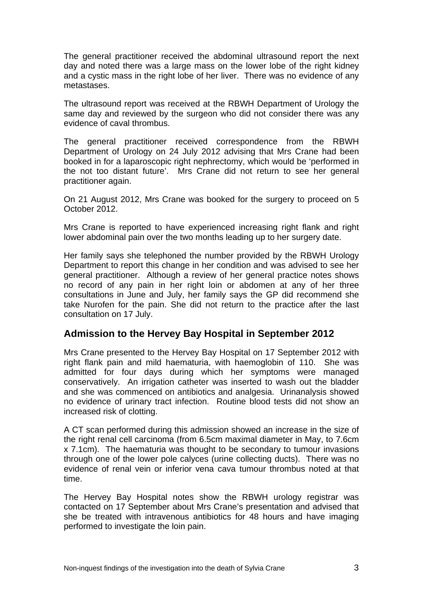The general practitioner received the abdominal ultrasound report the next day and noted there was a large mass on the lower lobe of the right kidney and a cystic mass in the right lobe of her liver. There was no evidence of any metastases.

The ultrasound report was received at the RBWH Department of Urology the same day and reviewed by the surgeon who did not consider there was any evidence of caval thrombus.

The general practitioner received correspondence from the RBWH Department of Urology on 24 July 2012 advising that Mrs Crane had been booked in for a laparoscopic right nephrectomy, which would be 'performed in the not too distant future'. Mrs Crane did not return to see her general practitioner again.

On 21 August 2012, Mrs Crane was booked for the surgery to proceed on 5 October 2012.

Mrs Crane is reported to have experienced increasing right flank and right lower abdominal pain over the two months leading up to her surgery date.

Her family says she telephoned the number provided by the RBWH Urology Department to report this change in her condition and was advised to see her general practitioner. Although a review of her general practice notes shows no record of any pain in her right loin or abdomen at any of her three consultations in June and July, her family says the GP did recommend she take Nurofen for the pain. She did not return to the practice after the last consultation on 17 July.

#### <span id="page-4-0"></span>**Admission to the Hervey Bay Hospital in September 2012**

Mrs Crane presented to the Hervey Bay Hospital on 17 September 2012 with right flank pain and mild haematuria, with haemoglobin of 110. She was admitted for four days during which her symptoms were managed conservatively. An irrigation catheter was inserted to wash out the bladder and she was commenced on antibiotics and analgesia. Urinanalysis showed no evidence of urinary tract infection. Routine blood tests did not show an increased risk of clotting.

A CT scan performed during this admission showed an increase in the size of the right renal cell carcinoma (from 6.5cm maximal diameter in May, to 7.6cm x 7.1cm). The haematuria was thought to be secondary to tumour invasions through one of the lower pole calyces (urine collecting ducts). There was no evidence of renal vein or inferior vena cava tumour thrombus noted at that time.

The Hervey Bay Hospital notes show the RBWH urology registrar was contacted on 17 September about Mrs Crane's presentation and advised that she be treated with intravenous antibiotics for 48 hours and have imaging performed to investigate the loin pain.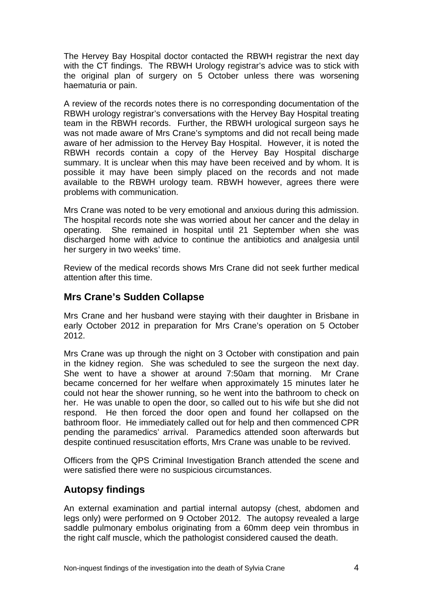The Hervey Bay Hospital doctor contacted the RBWH registrar the next day with the CT findings. The RBWH Urology registrar's advice was to stick with the original plan of surgery on 5 October unless there was worsening haematuria or pain.

A review of the records notes there is no corresponding documentation of the RBWH urology registrar's conversations with the Hervey Bay Hospital treating team in the RBWH records. Further, the RBWH urological surgeon says he was not made aware of Mrs Crane's symptoms and did not recall being made aware of her admission to the Hervey Bay Hospital. However, it is noted the RBWH records contain a copy of the Hervey Bay Hospital discharge summary. It is unclear when this may have been received and by whom. It is possible it may have been simply placed on the records and not made available to the RBWH urology team. RBWH however, agrees there were problems with communication.

Mrs Crane was noted to be very emotional and anxious during this admission. The hospital records note she was worried about her cancer and the delay in operating. She remained in hospital until 21 September when she was discharged home with advice to continue the antibiotics and analgesia until her surgery in two weeks' time.

Review of the medical records shows Mrs Crane did not seek further medical attention after this time.

## <span id="page-5-0"></span>**Mrs Crane's Sudden Collapse**

Mrs Crane and her husband were staying with their daughter in Brisbane in early October 2012 in preparation for Mrs Crane's operation on 5 October 2012.

Mrs Crane was up through the night on 3 October with constipation and pain in the kidney region. She was scheduled to see the surgeon the next day. She went to have a shower at around 7:50am that morning. Mr Crane became concerned for her welfare when approximately 15 minutes later he could not hear the shower running, so he went into the bathroom to check on her. He was unable to open the door, so called out to his wife but she did not respond. He then forced the door open and found her collapsed on the bathroom floor. He immediately called out for help and then commenced CPR pending the paramedics' arrival. Paramedics attended soon afterwards but despite continued resuscitation efforts, Mrs Crane was unable to be revived.

Officers from the QPS Criminal Investigation Branch attended the scene and were satisfied there were no suspicious circumstances.

## <span id="page-5-1"></span>**Autopsy findings**

An external examination and partial internal autopsy (chest, abdomen and legs only) were performed on 9 October 2012. The autopsy revealed a large saddle pulmonary embolus originating from a 60mm deep vein thrombus in the right calf muscle, which the pathologist considered caused the death.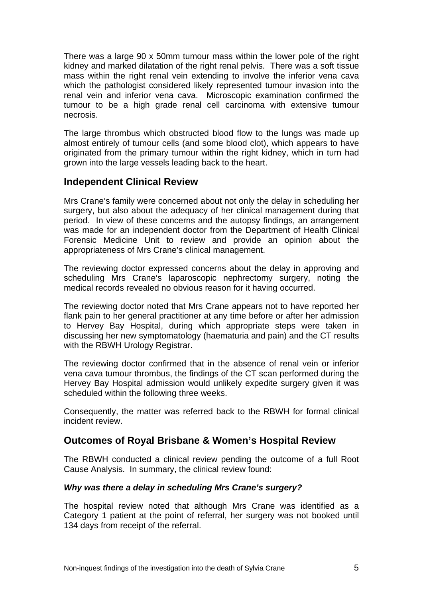There was a large 90 x 50mm tumour mass within the lower pole of the right kidney and marked dilatation of the right renal pelvis. There was a soft tissue mass within the right renal vein extending to involve the inferior vena cava which the pathologist considered likely represented tumour invasion into the renal vein and inferior vena cava. Microscopic examination confirmed the tumour to be a high grade renal cell carcinoma with extensive tumour necrosis.

The large thrombus which obstructed blood flow to the lungs was made up almost entirely of tumour cells (and some blood clot), which appears to have originated from the primary tumour within the right kidney, which in turn had grown into the large vessels leading back to the heart.

#### <span id="page-6-0"></span>**Independent Clinical Review**

Mrs Crane's family were concerned about not only the delay in scheduling her surgery, but also about the adequacy of her clinical management during that period. In view of these concerns and the autopsy findings, an arrangement was made for an independent doctor from the Department of Health Clinical Forensic Medicine Unit to review and provide an opinion about the appropriateness of Mrs Crane's clinical management.

The reviewing doctor expressed concerns about the delay in approving and scheduling Mrs Crane's laparoscopic nephrectomy surgery, noting the medical records revealed no obvious reason for it having occurred.

The reviewing doctor noted that Mrs Crane appears not to have reported her flank pain to her general practitioner at any time before or after her admission to Hervey Bay Hospital, during which appropriate steps were taken in discussing her new symptomatology (haematuria and pain) and the CT results with the RBWH Urology Registrar.

The reviewing doctor confirmed that in the absence of renal vein or inferior vena cava tumour thrombus, the findings of the CT scan performed during the Hervey Bay Hospital admission would unlikely expedite surgery given it was scheduled within the following three weeks.

Consequently, the matter was referred back to the RBWH for formal clinical incident review.

## <span id="page-6-1"></span>**Outcomes of Royal Brisbane & Women's Hospital Review**

The RBWH conducted a clinical review pending the outcome of a full Root Cause Analysis. In summary, the clinical review found:

#### *Why was there a delay in scheduling Mrs Crane's surgery?*

The hospital review noted that although Mrs Crane was identified as a Category 1 patient at the point of referral, her surgery was not booked until 134 days from receipt of the referral.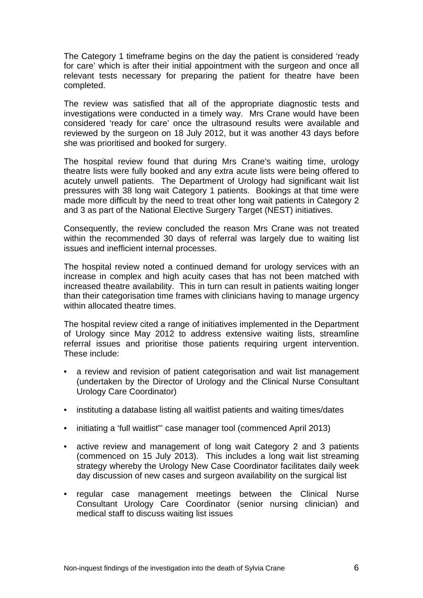The Category 1 timeframe begins on the day the patient is considered 'ready for care' which is after their initial appointment with the surgeon and once all relevant tests necessary for preparing the patient for theatre have been completed.

The review was satisfied that all of the appropriate diagnostic tests and investigations were conducted in a timely way. Mrs Crane would have been considered 'ready for care' once the ultrasound results were available and reviewed by the surgeon on 18 July 2012, but it was another 43 days before she was prioritised and booked for surgery.

The hospital review found that during Mrs Crane's waiting time, urology theatre lists were fully booked and any extra acute lists were being offered to acutely unwell patients. The Department of Urology had significant wait list pressures with 38 long wait Category 1 patients. Bookings at that time were made more difficult by the need to treat other long wait patients in Category 2 and 3 as part of the National Elective Surgery Target (NEST) initiatives.

Consequently, the review concluded the reason Mrs Crane was not treated within the recommended 30 days of referral was largely due to waiting list issues and inefficient internal processes.

The hospital review noted a continued demand for urology services with an increase in complex and high acuity cases that has not been matched with increased theatre availability. This in turn can result in patients waiting longer than their categorisation time frames with clinicians having to manage urgency within allocated theatre times.

The hospital review cited a range of initiatives implemented in the Department of Urology since May 2012 to address extensive waiting lists, streamline referral issues and prioritise those patients requiring urgent intervention. These include:

- a review and revision of patient categorisation and wait list management (undertaken by the Director of Urology and the Clinical Nurse Consultant Urology Care Coordinator)
- instituting a database listing all waitlist patients and waiting times/dates
- initiating a 'full waitlist"' case manager tool (commenced April 2013)
- active review and management of long wait Category 2 and 3 patients (commenced on 15 July 2013). This includes a long wait list streaming strategy whereby the Urology New Case Coordinator facilitates daily week day discussion of new cases and surgeon availability on the surgical list
- regular case management meetings between the Clinical Nurse Consultant Urology Care Coordinator (senior nursing clinician) and medical staff to discuss waiting list issues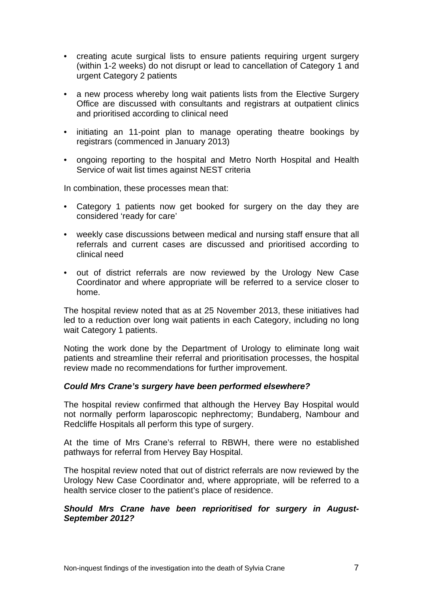- creating acute surgical lists to ensure patients requiring urgent surgery (within 1-2 weeks) do not disrupt or lead to cancellation of Category 1 and urgent Category 2 patients
- a new process whereby long wait patients lists from the Elective Surgery Office are discussed with consultants and registrars at outpatient clinics and prioritised according to clinical need
- initiating an 11-point plan to manage operating theatre bookings by registrars (commenced in January 2013)
- ongoing reporting to the hospital and Metro North Hospital and Health Service of wait list times against NEST criteria

In combination, these processes mean that:

- Category 1 patients now get booked for surgery on the day they are considered 'ready for care'
- weekly case discussions between medical and nursing staff ensure that all referrals and current cases are discussed and prioritised according to clinical need
- out of district referrals are now reviewed by the Urology New Case Coordinator and where appropriate will be referred to a service closer to home.

The hospital review noted that as at 25 November 2013, these initiatives had led to a reduction over long wait patients in each Category, including no long wait Category 1 patients.

Noting the work done by the Department of Urology to eliminate long wait patients and streamline their referral and prioritisation processes, the hospital review made no recommendations for further improvement.

#### *Could Mrs Crane's surgery have been performed elsewhere?*

The hospital review confirmed that although the Hervey Bay Hospital would not normally perform laparoscopic nephrectomy; Bundaberg, Nambour and Redcliffe Hospitals all perform this type of surgery.

At the time of Mrs Crane's referral to RBWH, there were no established pathways for referral from Hervey Bay Hospital.

The hospital review noted that out of district referrals are now reviewed by the Urology New Case Coordinator and, where appropriate, will be referred to a health service closer to the patient's place of residence.

#### *Should Mrs Crane have been reprioritised for surgery in August-September 2012?*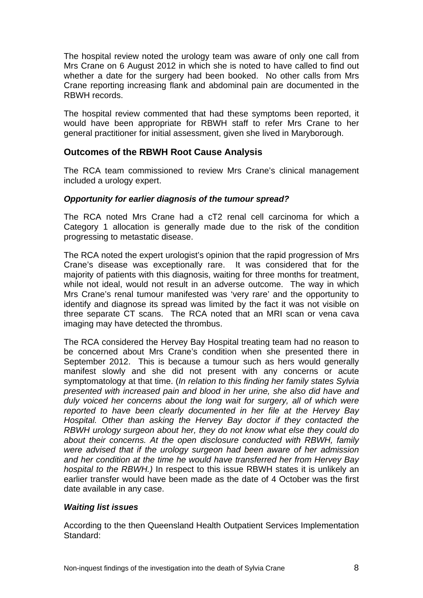The hospital review noted the urology team was aware of only one call from Mrs Crane on 6 August 2012 in which she is noted to have called to find out whether a date for the surgery had been booked. No other calls from Mrs Crane reporting increasing flank and abdominal pain are documented in the RBWH records.

The hospital review commented that had these symptoms been reported, it would have been appropriate for RBWH staff to refer Mrs Crane to her general practitioner for initial assessment, given she lived in Maryborough.

#### <span id="page-9-0"></span>**Outcomes of the RBWH Root Cause Analysis**

The RCA team commissioned to review Mrs Crane's clinical management included a urology expert.

#### *Opportunity for earlier diagnosis of the tumour spread?*

The RCA noted Mrs Crane had a cT2 renal cell carcinoma for which a Category 1 allocation is generally made due to the risk of the condition progressing to metastatic disease.

The RCA noted the expert urologist's opinion that the rapid progression of Mrs Crane's disease was exceptionally rare. It was considered that for the majority of patients with this diagnosis, waiting for three months for treatment, while not ideal, would not result in an adverse outcome. The way in which Mrs Crane's renal tumour manifested was 'very rare' and the opportunity to identify and diagnose its spread was limited by the fact it was not visible on three separate CT scans. The RCA noted that an MRI scan or vena cava imaging may have detected the thrombus.

The RCA considered the Hervey Bay Hospital treating team had no reason to be concerned about Mrs Crane's condition when she presented there in September 2012. This is because a tumour such as hers would generally manifest slowly and she did not present with any concerns or acute symptomatology at that time. (*In relation to this finding her family states Sylvia presented with increased pain and blood in her urine, she also did have and duly voiced her concerns about the long wait for surgery, all of which were reported to have been clearly documented in her file at the Hervey Bay Hospital. Other than asking the Hervey Bay doctor if they contacted the RBWH urology surgeon about her, they do not know what else they could do about their concerns. At the open disclosure conducted with RBWH, family were advised that if the urology surgeon had been aware of her admission and her condition at the time he would have transferred her from Hervey Bay hospital to the RBWH.)* In respect to this issue RBWH states it is unlikely an earlier transfer would have been made as the date of 4 October was the first date available in any case.

#### *Waiting list issues*

According to the then Queensland Health Outpatient Services Implementation Standard: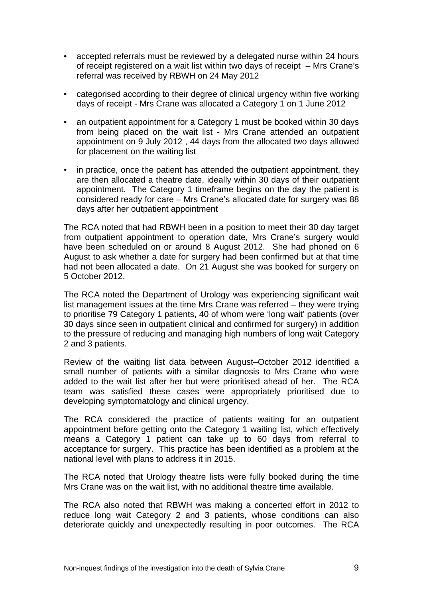- accepted referrals must be reviewed by a delegated nurse within 24 hours of receipt registered on a wait list within two days of receipt – Mrs Crane's referral was received by RBWH on 24 May 2012
- categorised according to their degree of clinical urgency within five working days of receipt - Mrs Crane was allocated a Category 1 on 1 June 2012
- an outpatient appointment for a Category 1 must be booked within 30 days from being placed on the wait list - Mrs Crane attended an outpatient appointment on 9 July 2012 , 44 days from the allocated two days allowed for placement on the waiting list
- in practice, once the patient has attended the outpatient appointment, they are then allocated a theatre date, ideally within 30 days of their outpatient appointment. The Category 1 timeframe begins on the day the patient is considered ready for care – Mrs Crane's allocated date for surgery was 88 days after her outpatient appointment

The RCA noted that had RBWH been in a position to meet their 30 day target from outpatient appointment to operation date, Mrs Crane's surgery would have been scheduled on or around 8 August 2012. She had phoned on 6 August to ask whether a date for surgery had been confirmed but at that time had not been allocated a date. On 21 August she was booked for surgery on 5 October 2012.

The RCA noted the Department of Urology was experiencing significant wait list management issues at the time Mrs Crane was referred – they were trying to prioritise 79 Category 1 patients, 40 of whom were 'long wait' patients (over 30 days since seen in outpatient clinical and confirmed for surgery) in addition to the pressure of reducing and managing high numbers of long wait Category 2 and 3 patients.

Review of the waiting list data between August–October 2012 identified a small number of patients with a similar diagnosis to Mrs Crane who were added to the wait list after her but were prioritised ahead of her. The RCA team was satisfied these cases were appropriately prioritised due to developing symptomatology and clinical urgency.

The RCA considered the practice of patients waiting for an outpatient appointment before getting onto the Category 1 waiting list, which effectively means a Category 1 patient can take up to 60 days from referral to acceptance for surgery. This practice has been identified as a problem at the national level with plans to address it in 2015.

The RCA noted that Urology theatre lists were fully booked during the time Mrs Crane was on the wait list, with no additional theatre time available.

The RCA also noted that RBWH was making a concerted effort in 2012 to reduce long wait Category 2 and 3 patients, whose conditions can also deteriorate quickly and unexpectedly resulting in poor outcomes. The RCA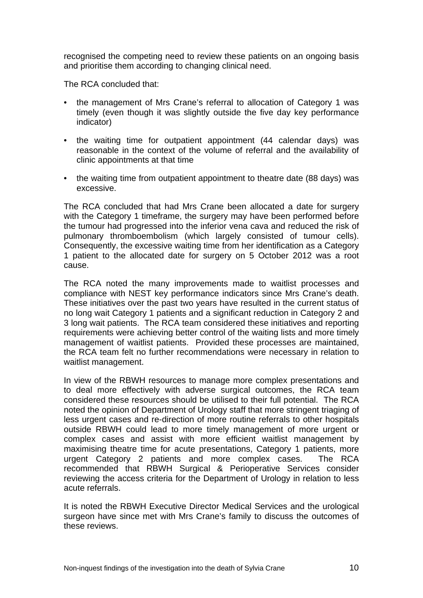recognised the competing need to review these patients on an ongoing basis and prioritise them according to changing clinical need.

The RCA concluded that:

- the management of Mrs Crane's referral to allocation of Category 1 was timely (even though it was slightly outside the five day key performance indicator)
- the waiting time for outpatient appointment (44 calendar days) was reasonable in the context of the volume of referral and the availability of clinic appointments at that time
- the waiting time from outpatient appointment to theatre date (88 days) was excessive.

The RCA concluded that had Mrs Crane been allocated a date for surgery with the Category 1 timeframe, the surgery may have been performed before the tumour had progressed into the inferior vena cava and reduced the risk of pulmonary thromboembolism (which largely consisted of tumour cells). Consequently, the excessive waiting time from her identification as a Category 1 patient to the allocated date for surgery on 5 October 2012 was a root cause.

The RCA noted the many improvements made to waitlist processes and compliance with NEST key performance indicators since Mrs Crane's death. These initiatives over the past two years have resulted in the current status of no long wait Category 1 patients and a significant reduction in Category 2 and 3 long wait patients. The RCA team considered these initiatives and reporting requirements were achieving better control of the waiting lists and more timely management of waitlist patients. Provided these processes are maintained, the RCA team felt no further recommendations were necessary in relation to waitlist management.

In view of the RBWH resources to manage more complex presentations and to deal more effectively with adverse surgical outcomes, the RCA team considered these resources should be utilised to their full potential. The RCA noted the opinion of Department of Urology staff that more stringent triaging of less urgent cases and re-direction of more routine referrals to other hospitals outside RBWH could lead to more timely management of more urgent or complex cases and assist with more efficient waitlist management by maximising theatre time for acute presentations, Category 1 patients, more urgent Category 2 patients and more complex cases. The RCA recommended that RBWH Surgical & Perioperative Services consider reviewing the access criteria for the Department of Urology in relation to less acute referrals.

It is noted the RBWH Executive Director Medical Services and the urological surgeon have since met with Mrs Crane's family to discuss the outcomes of these reviews.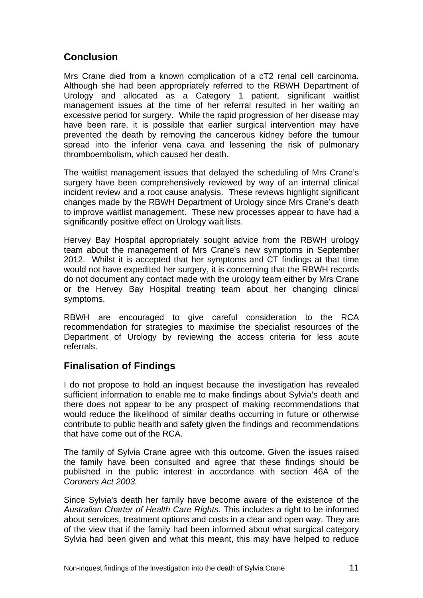## <span id="page-12-0"></span>**Conclusion**

Mrs Crane died from a known complication of a cT2 renal cell carcinoma. Although she had been appropriately referred to the RBWH Department of Urology and allocated as a Category 1 patient, significant waitlist management issues at the time of her referral resulted in her waiting an excessive period for surgery. While the rapid progression of her disease may have been rare, it is possible that earlier surgical intervention may have prevented the death by removing the cancerous kidney before the tumour spread into the inferior vena cava and lessening the risk of pulmonary thromboembolism, which caused her death.

The waitlist management issues that delayed the scheduling of Mrs Crane's surgery have been comprehensively reviewed by way of an internal clinical incident review and a root cause analysis. These reviews highlight significant changes made by the RBWH Department of Urology since Mrs Crane's death to improve waitlist management. These new processes appear to have had a significantly positive effect on Urology wait lists.

Hervey Bay Hospital appropriately sought advice from the RBWH urology team about the management of Mrs Crane's new symptoms in September 2012. Whilst it is accepted that her symptoms and CT findings at that time would not have expedited her surgery, it is concerning that the RBWH records do not document any contact made with the urology team either by Mrs Crane or the Hervey Bay Hospital treating team about her changing clinical symptoms.

RBWH are encouraged to give careful consideration to the RCA recommendation for strategies to maximise the specialist resources of the Department of Urology by reviewing the access criteria for less acute referrals.

## <span id="page-12-1"></span>**Finalisation of Findings**

I do not propose to hold an inquest because the investigation has revealed sufficient information to enable me to make findings about Sylvia's death and there does not appear to be any prospect of making recommendations that would reduce the likelihood of similar deaths occurring in future or otherwise contribute to public health and safety given the findings and recommendations that have come out of the RCA.

The family of Sylvia Crane agree with this outcome. Given the issues raised the family have been consulted and agree that these findings should be published in the public interest in accordance with section 46A of the *Coroners Act 2003.* 

Since Sylvia's death her family have become aware of the existence of the *Australian Charter of Health Care Rights*. This includes a right to be informed about services, treatment options and costs in a clear and open way. They are of the view that if the family had been informed about what surgical category Sylvia had been given and what this meant, this may have helped to reduce